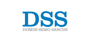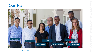

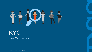

# KYC Know Your Customer

www.semosancus.com 1.844.438.1377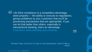"<br>" I do think compliance is a competitive advantage, done properly — the ability to execute on regulations, giving confidence to your customers that you'll be processing transactions that are appropriate. If you can do that better than others, especially in transactional banking, that's an advantage. Customers need reliability and certainty.

RICHARD YORKE, EXECUTIVE VP | HEAD OF THE INTERNATIONAL GROUP AT WELLS FARGO

"<br>"<br>"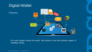## Digital-Wallet

**Features** 



For many people around the world, their phone is now their primary means of handling money.

www.semosancus.com 1.844.438.1377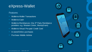### eXpress-Wallet

### **Features**

- Wallet-to-Wallet Transactions
- Wallet-to-Cash
- Wallet-to-Remittances (Via 3<sup>rd</sup> Party Remittance providers e.g. Western Union, MoneyGram)
- Wallet-to-Virtual Pre-paid Credit Card
- In-store/Online purchases
- Purchase Mobile Airtime